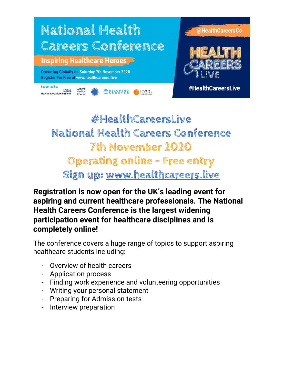

**#HealthCareersLive National Health Careers Conference 7th November 2020 Operating online - Free entry Sign up: www.healthcareers.live**

**Registration is now open for the UK's leading event for aspiring and current healthcare professionals. The National Health Careers Conference is the largest widening participation event for healthcare disciplines and is completely online!**

The conference covers a huge range of topics to support aspiring healthcare students including:

- Overview of health careers
- Application process
- Finding work experience and volunteering opportunities
- Writing your personal statement
- Preparing for Admission tests
- Interview preparation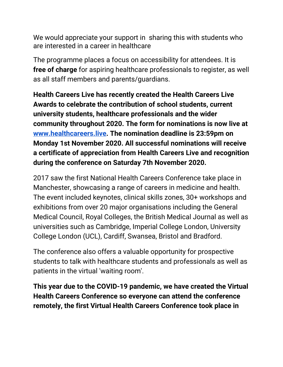We would appreciate your support in sharing this with students who are interested in a career in healthcare

The programme places a focus on accessibility for attendees. It is **free of charge** for aspiring healthcare professionals to register, as well as all staff members and parents/guardians.

**Health Careers Live has recently created the Health Careers Live Awards to celebrate the contribution of school students, current university students, healthcare professionals and the wider community throughout 2020. The form for nominations is now live at www.healthcareers.live. The nomination deadline is 23:59pm on Monday 1st November 2020. All successful nominations will receive a certificate of appreciation from Health Careers Live and recognition during the conference on Saturday 7th November 2020.**

2017 saw the first National Health Careers Conference take place in Manchester, showcasing a range of careers in medicine and health. The event included keynotes, clinical skills zones, 30+ workshops and exhibitions from over 20 major organisations including the General Medical Council, Royal Colleges, the British Medical Journal as well as universities such as Cambridge, Imperial College London, University College London (UCL), Cardiff, Swansea, Bristol and Bradford.

The conference also offers a valuable opportunity for prospective students to talk with healthcare students and professionals as well as patients in the virtual 'waiting room'.

**This year due to the COVID-19 pandemic, we have created the Virtual Health Careers Conference so everyone can attend the conference remotely, the first Virtual Health Careers Conference took place in**